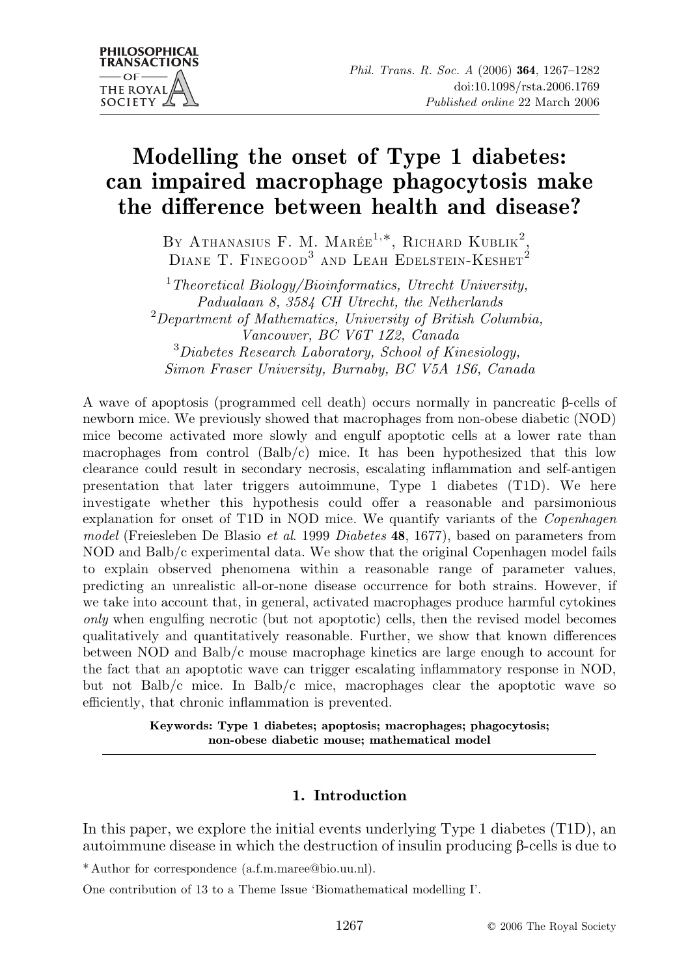# Modelling the onset of Type 1 diabetes: can impaired macrophage phagocytosis make the difference between health and disease?

BY ATHANASIUS F. M. MARÉE $^{1,*},$  RICHARD KUBLIK<sup>2</sup>, DIANE T. FINEGOOD<sup>3</sup> AND LEAH EDELSTEIN-KESHET<sup>2</sup>

 $1$ Theoretical Biology/Bioinformatics, Utrecht University, Padualaan 8, 3584 CH Utrecht, the Netherlands <sup>2</sup>Department of Mathematics, University of British Columbia, Vancouver, BC V6T 1Z2, Canada 3 Diabetes Research Laboratory, School of Kinesiology, Simon Fraser University, Burnaby, BC V5A 1S6, Canada

A wave of apoptosis (programmed cell death) occurs normally in pancreatic b-cells of newborn mice. We previously showed that macrophages from non-obese diabetic (NOD) mice become activated more slowly and engulf apoptotic cells at a lower rate than macrophages from control  $(Balb/c)$  mice. It has been hypothesized that this low clearance could result in secondary necrosis, escalating inflammation and self-antigen presentation that later triggers autoimmune, Type 1 diabetes (T1D). We here investigate whether this hypothesis could offer a reasonable and parsimonious explanation for onset of T1D in NOD mice. We quantify variants of the *Copenhagen* model (Freiesleben De Blasio et al. 1999 Diabetes 48, 1677), based on parameters from NOD and Balb/c experimental data. We show that the original Copenhagen model fails to explain observed phenomena within a reasonable range of parameter values, predicting an unrealistic all-or-none disease occurrence for both strains. However, if we take into account that, in general, activated macrophages produce harmful cytokines only when engulfing necrotic (but not apoptotic) cells, then the revised model becomes qualitatively and quantitatively reasonable. Further, we show that known differences between NOD and Balb/c mouse macrophage kinetics are large enough to account for the fact that an apoptotic wave can trigger escalating inflammatory response in NOD, but not Balb/c mice. In Balb/c mice, macrophages clear the apoptotic wave so efficiently, that chronic inflammation is prevented.

> Keywords: Type 1 diabetes; apoptosis; macrophages; phagocytosis; non-obese diabetic mouse; mathematical model

## 1. Introduction

In this paper, we explore the initial events underlying Type 1 diabetes (T1D), an autoimmune disease in which the destruction of insulin producing  $\beta$ -cells is due to

\* Author for correspondence (a.f.m.maree@bio.uu.nl).

One contribution of 13 to a Theme Issue 'Biomathematical modelling I'.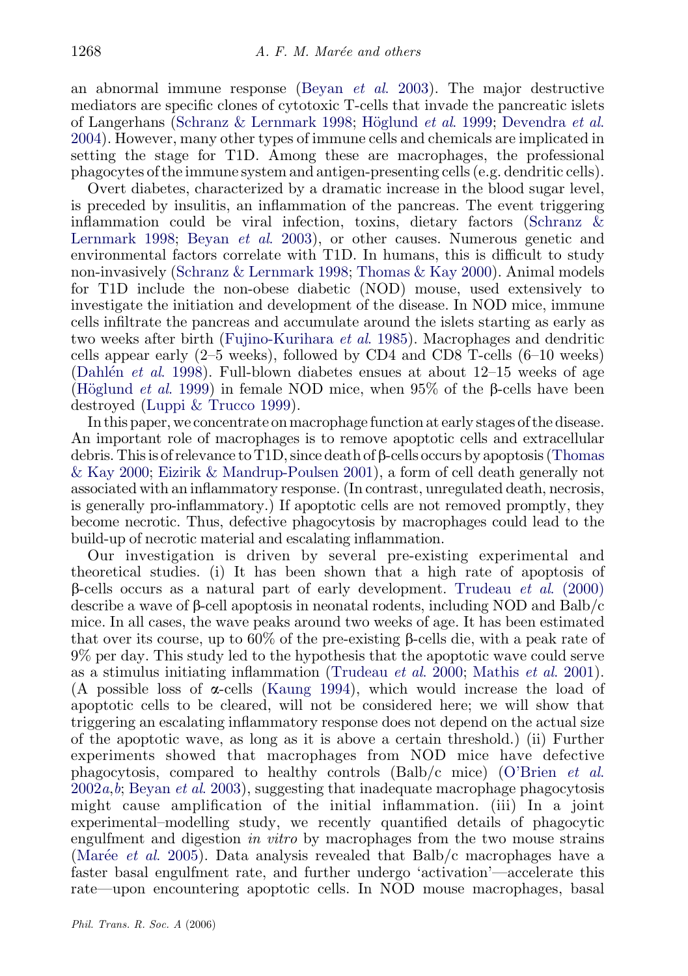an abnormal immune response (Beyan *et al.* 2003). The major destructive mediators are specific clones of cytotoxic T-cells that invade the pancreatic islets of Langerhans [\(Schranz & Lernmark 1998;](#page-15-0) Höglund *et al.* 1999; [Devendra](#page-14-0) *et al.* [2004\)](#page-14-0). However, many other types of immune cells and chemicals are implicated in setting the stage for T1D. Among these are macrophages, the professional phagocytes of the immune system and antigen-presenting cells (e.g. dendritic cells).

Overt diabetes, characterized by a dramatic increase in the blood sugar level, is preceded by insulitis, an inflammation of the pancreas. The event triggering inflammation could be viral infection, toxins, dietary factors [\(Schranz &](#page-15-0) [Lernmark 1998](#page-15-0); Beyan et al[. 2003\)](#page-14-0), or other causes. Numerous genetic and environmental factors correlate with T1D. In humans, this is difficult to study non-invasively [\(Schranz & Lernmark 1998;](#page-15-0) [Thomas & Kay 2000\)](#page-15-0). Animal models for T1D include the non-obese diabetic (NOD) mouse, used extensively to investigate the initiation and development of the disease. In NOD mice, immune cells infiltrate the pancreas and accumulate around the islets starting as early as two weeks after birth [\(Fujino-Kurihara](#page-14-0) et al. 1985). Macrophages and dendritic cells appear early (2–5 weeks), followed by CD4 and CD8 T-cells (6–10 weeks) (Dahlen *et al.* 1998). Full-blown diabetes ensues at about  $12-15$  weeks of age (Höglund *et al.* 1999) in female NOD mice, when 95% of the  $\beta$ -cells have been destroyed ([Luppi & Trucco 1999](#page-15-0)).

In this paper, we concentrate on macrophage function at early stages of the disease. An important role of macrophages is to remove apoptotic cells and extracellular debris. This is of relevance to T1D, since death of  $\beta$ -cells occurs by apoptosis ([Thomas](#page-15-0) [& Kay 2000;](#page-15-0) [Eizirik & Mandrup-Poulsen 2001\)](#page-14-0), a form of cell death generally not associated with an inflammatory response. (In contrast, unregulated death, necrosis, is generally pro-inflammatory.) If apoptotic cells are not removed promptly, they become necrotic. Thus, defective phagocytosis by macrophages could lead to the build-up of necrotic material and escalating inflammation.

Our investigation is driven by several pre-existing experimental and theoretical studies. (i) It has been shown that a high rate of apoptosis of  $\beta$ -cells occurs as a natural part of early development. [Trudeau](#page-15-0) *et al.* (2000) describe a wave of  $\beta$ -cell apoptosis in neonatal rodents, including NOD and Balb/c mice. In all cases, the wave peaks around two weeks of age. It has been estimated that over its course, up to  $60\%$  of the pre-existing  $\beta$ -cells die, with a peak rate of 9% per day. This study led to the hypothesis that the apoptotic wave could serve as a stimulus initiating inflammation [\(Trudeau](#page-15-0) et al. 2000; [Mathis](#page-15-0) et al. 2001). (A possible loss of  $\alpha$ -cells [\(Kaung 1994](#page-15-0)), which would increase the load of apoptotic cells to be cleared, will not be considered here; we will show that triggering an escalating inflammatory response does not depend on the actual size of the apoptotic wave, as long as it is above a certain threshold.) (ii) Further experiments showed that macrophages from NOD mice have defective phagocytosis, compared to healthy controls (Balb/c mice) [\(O'Brien](#page-15-0) et al.  $2002a, b$  $2002a, b$  $2002a, b$ ; [Beyan](#page-14-0) *et al.* 2003), suggesting that inadequate macrophage phagocytosis might cause amplification of the initial inflammation. (iii) In a joint experimental–modelling study, we recently quantified details of phagocytic engulfment and digestion in vitro by macrophages from the two mouse strains (Marée *et al.* 2005). Data analysis revealed that Balb/c macrophages have a faster basal engulfment rate, and further undergo 'activation'—accelerate this rate—upon encountering apoptotic cells. In NOD mouse macrophages, basal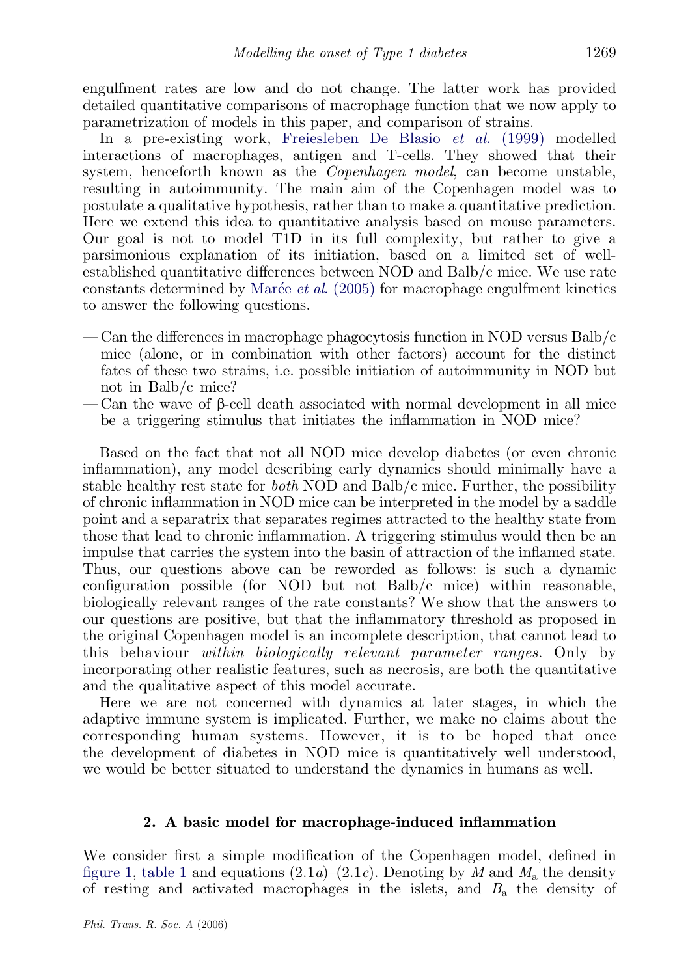engulfment rates are low and do not change. The latter work has provided detailed quantitative comparisons of macrophage function that we now apply to parametrization of models in this paper, and comparison of strains.

In a pre-existing work, [Freiesleben De Blasio](#page-14-0) et al. (1999) modelled interactions of macrophages, antigen and T-cells. They showed that their system, henceforth known as the Copenhagen model, can become unstable, resulting in autoimmunity. The main aim of the Copenhagen model was to postulate a qualitative hypothesis, rather than to make a quantitative prediction. Here we extend this idea to quantitative analysis based on mouse parameters. Our goal is not to model T1D in its full complexity, but rather to give a parsimonious explanation of its initiation, based on a limited set of wellestablished quantitative differences between NOD and Balb/c mice. We use rate constants determined by Marée *et al.*  $(2005)$  for macrophage engulfment kinetics to answer the following questions.

- Can the differences in macrophage phagocytosis function in NOD versus  $Balb/c$ mice (alone, or in combination with other factors) account for the distinct fates of these two strains, i.e. possible initiation of autoimmunity in NOD but not in Balb/c mice?
- Can the wave of b-cell death associated with normal development in all mice be a triggering stimulus that initiates the inflammation in NOD mice?

Based on the fact that not all NOD mice develop diabetes (or even chronic inflammation), any model describing early dynamics should minimally have a stable healthy rest state for *both* NOD and Balb/c mice. Further, the possibility of chronic inflammation in NOD mice can be interpreted in the model by a saddle point and a separatrix that separates regimes attracted to the healthy state from those that lead to chronic inflammation. A triggering stimulus would then be an impulse that carries the system into the basin of attraction of the inflamed state. Thus, our questions above can be reworded as follows: is such a dynamic configuration possible (for NOD but not Balb/c mice) within reasonable, biologically relevant ranges of the rate constants? We show that the answers to our questions are positive, but that the inflammatory threshold as proposed in the original Copenhagen model is an incomplete description, that cannot lead to this behaviour within biologically relevant parameter ranges. Only by incorporating other realistic features, such as necrosis, are both the quantitative and the qualitative aspect of this model accurate.

Here we are not concerned with dynamics at later stages, in which the adaptive immune system is implicated. Further, we make no claims about the corresponding human systems. However, it is to be hoped that once the development of diabetes in NOD mice is quantitatively well understood, we would be better situated to understand the dynamics in humans as well.

### 2. A basic model for macrophage-induced inflammation

We consider first a simple modification of the Copenhagen model, defined in [figure 1,](#page-3-0) [table 1](#page-4-0) and equations  $(2.1a)$ – $(2.1c)$ . Denoting by M and  $M<sub>a</sub>$  the density of resting and activated macrophages in the islets, and  $B<sub>a</sub>$  the density of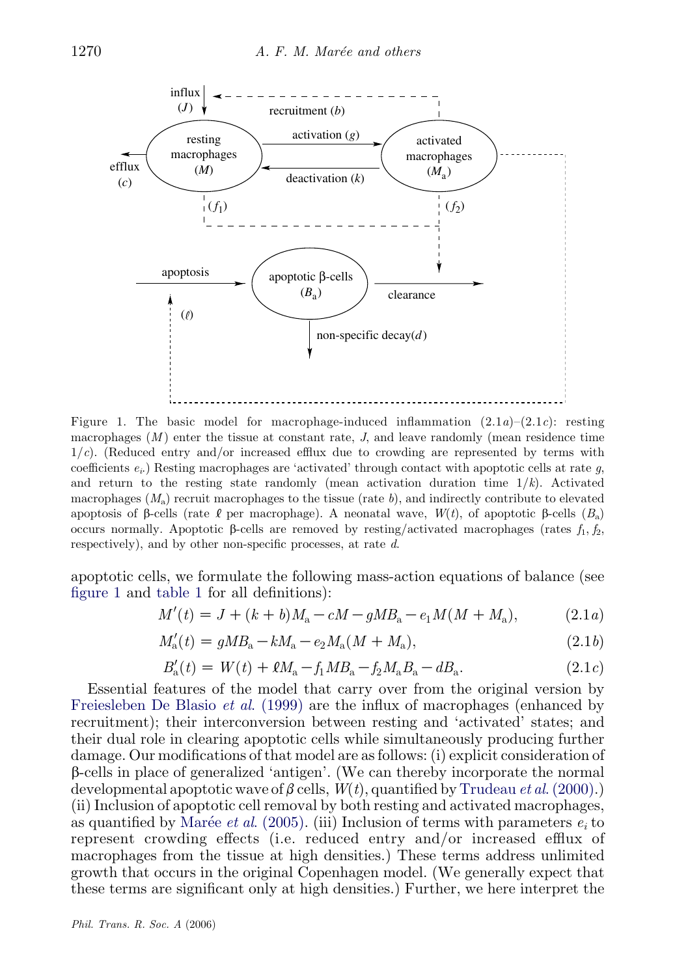<span id="page-3-0"></span>

Figure 1. The basic model for macrophage-induced inflammation  $(2.1a)$ – $(2.1c)$ : resting macrophages  $(M)$  enter the tissue at constant rate,  $J$ , and leave randomly (mean residence time  $1/c$ ). (Reduced entry and/or increased efflux due to crowding are represented by terms with coefficients  $e_i$ .) Resting macrophages are 'activated' through contact with apoptotic cells at rate q, and return to the resting state randomly (mean activation duration time  $1/k$ ). Activated macrophages  $(M<sub>a</sub>)$  recruit macrophages to the tissue (rate b), and indirectly contribute to elevated apoptosis of  $\beta$ -cells (rate  $\ell$  per macrophage). A neonatal wave,  $W(t)$ , of apoptotic  $\beta$ -cells  $(B_n)$ occurs normally. Apoptotic  $\beta$ -cells are removed by resting/activated macrophages (rates  $f_1, f_2$ , respectively), and by other non-specific processes, at rate d.

apoptotic cells, we formulate the following mass-action equations of balance (see figure 1 and [table 1](#page-4-0) for all definitions):

$$
M'(t) = J + (k + b)M_a - cM - gMB_a - e_1M(M + M_a), \tag{2.1a}
$$

$$
M'_{\rm a}(t) = gMB_{\rm a} - kM_{\rm a} - e_2M_{\rm a}(M + M_{\rm a}),\tag{2.1b}
$$

$$
B'_{a}(t) = W(t) + \ell M_{a} - f_{1} M B_{a} - f_{2} M_{a} B_{a} - dB_{a}.
$$
\n(2.1*c*)

Essential features of the model that carry over from the original version by [Freiesleben De Blasio](#page-14-0) *et al.* (1999) are the influx of macrophages (enhanced by recruitment); their interconversion between resting and 'activated' states; and their dual role in clearing apoptotic cells while simultaneously producing further damage. Our modifications of that model are as follows: (i) explicit consideration of b-cells in place of generalized 'antigen'. (We can thereby incorporate the normal developmental apoptotic wave of  $\beta$  cells,  $W(t)$ , quantified by [Trudeau](#page-15-0) *et al.* (2000).) (ii) Inclusion of apoptotic cell removal by both resting and activated macrophages, as quantified by Marée *et al.* (2005). (iii) Inclusion of terms with parameters  $e_i$  to represent crowding effects (i.e. reduced entry and/or increased efflux of macrophages from the tissue at high densities.) These terms address unlimited growth that occurs in the original Copenhagen model. (We generally expect that these terms are significant only at high densities.) Further, we here interpret the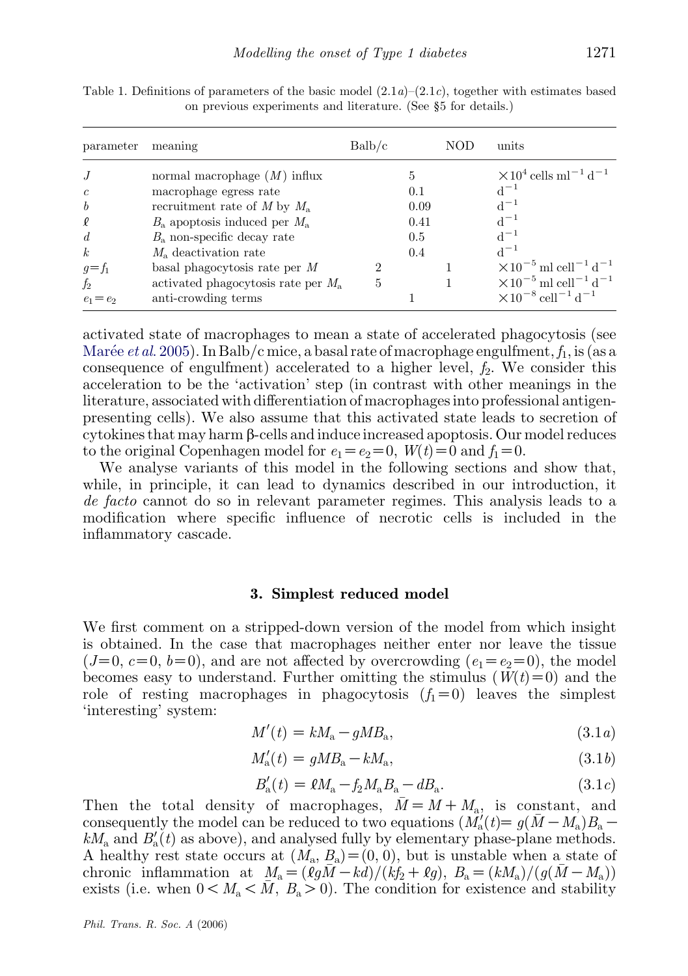| parameter                                                            | meaning                                                                                                                                                                                                                                                      | Balb/c |                                        | NOD | units                                                                                                                                                                      |
|----------------------------------------------------------------------|--------------------------------------------------------------------------------------------------------------------------------------------------------------------------------------------------------------------------------------------------------------|--------|----------------------------------------|-----|----------------------------------------------------------------------------------------------------------------------------------------------------------------------------|
| J<br>$\epsilon$<br>$\boldsymbol{b}$<br>₽<br>d<br>$\kappa$<br>$g=f_1$ | normal macrophage $(M)$ influx<br>macrophage egress rate<br>recruitment rate of M by $M_{\rm a}$<br>$B_{\rm a}$ apoptosis induced per $M_{\rm a}$<br>$B_{\rm a}$ non-specific decay rate<br>$M_{\rm a}$ deactivation rate<br>basal phagocytosis rate per $M$ | 2      | 5<br>0.1<br>0.09<br>0.41<br>0.5<br>0.4 |     | $\times 10^4$ cells ml <sup>-1</sup> d <sup>-1</sup><br>$d^{-1}$<br>$d^{-1}$<br>$d^{-1}$<br>$d^{-1}$<br>$d^{-1}$<br>$\times 10^{-5}$ ml cell <sup>-1</sup> d <sup>-1</sup> |
| f <sub>2</sub><br>$e_1 = e_2$                                        | activated phagocytosis rate per $M_{\rm a}$<br>anti-crowding terms                                                                                                                                                                                           | 5      |                                        |     | $\times 10^{-5}$ ml cell <sup>-1</sup> d <sup>-1</sup><br>$\times 10^{-8}$ cell <sup>-1</sup> d <sup>-1</sup>                                                              |

<span id="page-4-0"></span>Table 1. Definitions of parameters of the basic model  $(2.1a)-(2.1c)$ , together with estimates based on previous experiments and literature. (See §5 for details.)

activated state of macrophages to mean a state of accelerated phagocytosis (see Marée *et al.* 2005). In Balb/c mice, a basal rate of macrophage engulfment,  $f_1$ , is (as a consequence of engulfment) accelerated to a higher level,  $f_2$ . We consider this acceleration to be the 'activation' step (in contrast with other meanings in the literature, associated with differentiation of macrophages into professional antigenpresenting cells). We also assume that this activated state leads to secretion of cytokines that may harm b-cells and induce increased apoptosis. Our model reduces to the original Copenhagen model for  $e_1=e_2=0$ ,  $W(t)=0$  and  $f_1=0$ .

We analyse variants of this model in the following sections and show that, while, in principle, it can lead to dynamics described in our introduction, it de facto cannot do so in relevant parameter regimes. This analysis leads to a modification where specific influence of necrotic cells is included in the inflammatory cascade.

#### 3. Simplest reduced model

We first comment on a stripped-down version of the model from which insight is obtained. In the case that macrophages neither enter nor leave the tissue  $(J=0, c=0, b=0)$ , and are not affected by overcrowding  $(e_1=e_2=0)$ , the model becomes easy to understand. Further omitting the stimulus  $(W(t)=0)$  and the role of resting macrophages in phagocytosis  $(f_1=0)$  leaves the simplest 'interesting' system:

$$
M'(t) = kM_a - gMB_a, \tag{3.1a}
$$

$$
M'_{\rm a}(t) = gMB_{\rm a} - kM_{\rm a},\tag{3.1b}
$$

$$
B'_{\rm a}(t) = \ell M_{\rm a} - f_2 M_{\rm a} B_{\rm a} - dB_{\rm a}.
$$
 (3.1*c*)

Then the total density of macrophages,  $\overline{M} = M + M_a$ , is constant, and consequently the model can be reduced to two equations  $(M'_a(t) = g(\bar{M} - M_a)B_a$  $kM_a$  and  $B'_a(t)$  as above), and analysed fully by elementary phase-plane methods. A healthy rest state occurs at  $(M_a, B_a) = (0, 0)$ , but is unstable when a state of chronic inflammation at  $M_a = (\tilde{\ell g} \bar{M} - k\tilde{d})/(\tilde{k}f_2 + \ell g), B_a = (kM_a)/(g(\bar{M} - M_a))$ exists (i.e. when  $0 < M_a < \overline{M}$ ,  $B_a > 0$ ). The condition for existence and stability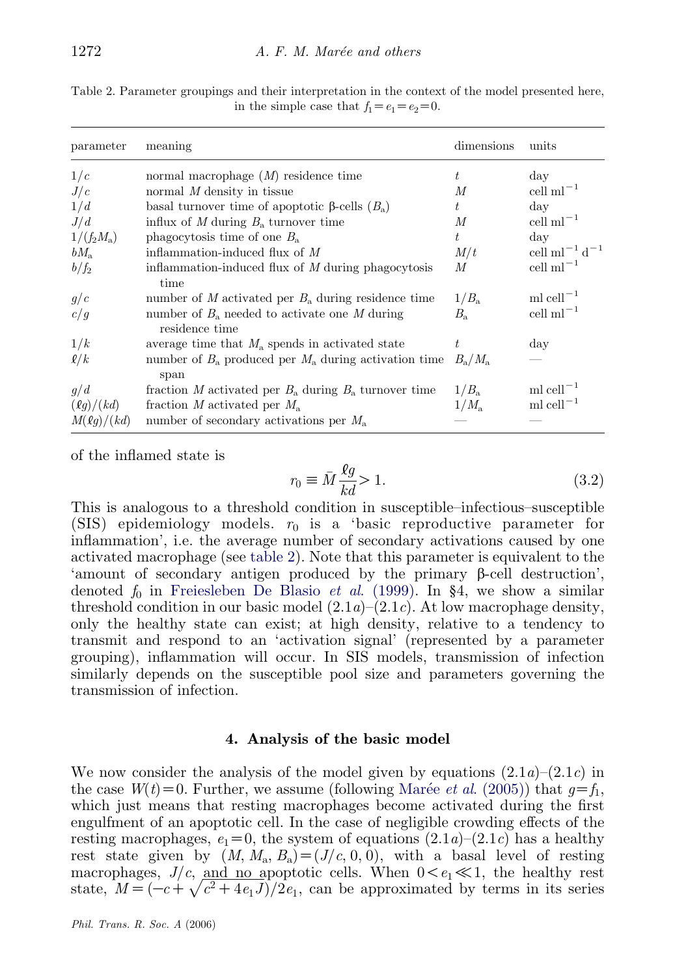| Table 2. Parameter groupings and their interpretation in the context of the model presented here, |                                                 |  |  |  |
|---------------------------------------------------------------------------------------------------|-------------------------------------------------|--|--|--|
|                                                                                                   | in the simple case that $f_1 = e_1 = e_2 = 0$ . |  |  |  |

| parameter                             | meaning                                                   | dimensions            | units                                                           |
|---------------------------------------|-----------------------------------------------------------|-----------------------|-----------------------------------------------------------------|
| 1/c                                   | normal macrophage $(M)$ residence time                    | $t\,$                 | $\rm day$                                                       |
| J/c                                   | normal $M$ density in tissue                              | M                     | cell $ml^{-1}$                                                  |
| 1/d                                   | basal turnover time of apoptotic $\beta$ -cells $(B_n)$   | t.                    | $\rm{day}$                                                      |
| J/d                                   | influx of M during $B_a$ turnover time                    | М                     | $\text{cell ml}^{-1}$                                           |
| $1/(f_2M_{\rm a})$                    | phagocytosis time of one $B_a$                            | t                     | day                                                             |
| $bM_{\rm a}$                          | inflammation-induced flux of $M$                          | M/t                   | cell ml <sup><math>-1</math></sup> d <sup><math>-1</math></sup> |
| $b/f_2$                               | inflammation-induced flux of $M$ during phagocytosis      | M                     | cell $ml^{-1}$                                                  |
|                                       | time                                                      |                       |                                                                 |
| g/c                                   | number of M activated per $B_a$ during residence time     | $1/B_{\rm a}$         | ml cell $^{-1}$                                                 |
| c/g                                   | number of $B_a$ needed to activate one M during           | $B_{\rm a}$           | $\text{cell } \text{ml}^{-1}$                                   |
|                                       | residence time                                            |                       |                                                                 |
| 1/k                                   | average time that $M_a$ spends in activated state         | t                     | day                                                             |
| $\ell/k$                              | number of $B_a$ produced per $M_a$ during activation time | $B_{\rm a}/M_{\rm a}$ |                                                                 |
|                                       | span                                                      |                       |                                                                 |
| q/d                                   | fraction M activated per $B_a$ during $B_a$ turnover time | $1/B_a$               | ml cell $^{-1}$                                                 |
| $\left(\ell q\right)/\left(kd\right)$ | fraction M activated per $M_{\rm a}$                      | $1/M_{\rm a}$         | ml cell $^{-1}$                                                 |
| M(g)/(kd)                             | number of secondary activations per $M_{\rm a}$           |                       |                                                                 |

of the inflamed state is

$$
r_0 \equiv \bar{M} \frac{\ell g}{kd} > 1. \tag{3.2}
$$

This is analogous to a threshold condition in susceptible–infectious–susceptible (SIS) epidemiology models.  $r_0$  is a 'basic reproductive parameter for inflammation', i.e. the average number of secondary activations caused by one activated macrophage (see table 2). Note that this parameter is equivalent to the 'amount of secondary antigen produced by the primary  $\beta$ -cell destruction', denoted  $f_0$  in [Freiesleben De Blasio](#page-14-0) *et al.* (1999). In §4, we show a similar threshold condition in our basic model  $(2.1a)$ – $(2.1c)$ . At low macrophage density, only the healthy state can exist; at high density, relative to a tendency to transmit and respond to an 'activation signal' (represented by a parameter grouping), inflammation will occur. In SIS models, transmission of infection similarly depends on the susceptible pool size and parameters governing the transmission of infection.

#### 4. Analysis of the basic model

We now consider the analysis of the model given by equations  $(2.1a)-(2.1c)$  in the case  $W(t)=0$ . Further, we assume (following Marée *et al.* (2005)) that  $q=f_1$ , which just means that resting macrophages become activated during the first engulfment of an apoptotic cell. In the case of negligible crowding effects of the resting macrophages,  $e_1=0$ , the system of equations  $(2.1a)-(2.1c)$  has a healthy rest state given by  $(M, M_a, B_a) = (J/c, 0, 0)$ , with a basal level of resting macrophages,  $J/c$ , and no apoptotic cells. When  $0 < e_1 \ll 1$ , the healthy rest macrophages,  $J/c$ , and no apoptotic cens. When  $0 < e_1 \ll 1$ , the heatthy rest<br>state,  $M = (-c + \sqrt{c^2 + 4e_1J})/2e_1$ , can be approximated by terms in its series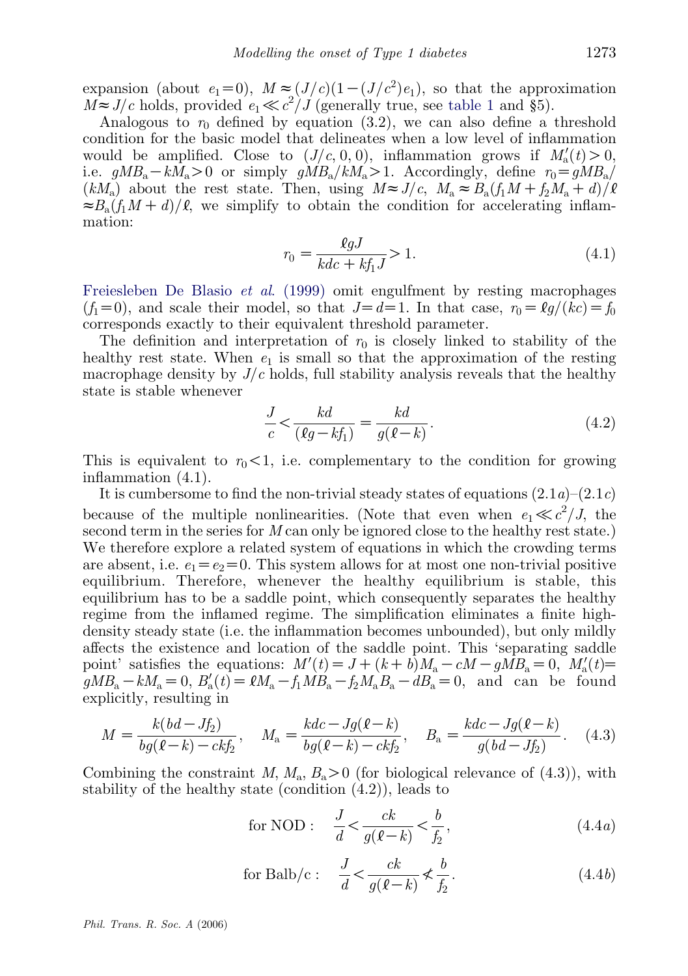expansion (about  $e_1=0$ ),  $M \approx (J/c)(1-(J/c^2)e_1)$ , so that the approximation  $M \approx J/c$  holds, provided  $e_1 \ll c^2/J$  (generally true, see [table 1](#page-4-0) and §5).

Analogous to  $r_0$  defined by equation (3.2), we can also define a threshold condition for the basic model that delineates when a low level of inflammation would be amplified. Close to  $(J/c, 0, 0)$ , inflammation grows if  $M'_a(t) > 0$ , i.e.  $gMB_a-kM_a>0$  or simply  $gMB_a/kM_a>1$ . Accordingly, define  $r_0=gMB_a/k$  $(kM_a)$  about the rest state. Then, using  $M \approx J/c$ ,  $M_a \approx B_a(f_1M + f_2M_a + d)/l$  $\approx B_{\rm a}(f_{\rm 1}M+d)/\ell$ , we simplify to obtain the condition for accelerating inflammation:

$$
r_0 = \frac{\ell g J}{kdc + k f_1 J} > 1.
$$
\n(4.1)

[Freiesleben De Blasio](#page-14-0) et al. (1999) omit engulfment by resting macrophages  $(f_1=0)$ , and scale their model, so that  $J=d=1$ . In that case,  $r_0=\ell q/(kc)=f_0$ corresponds exactly to their equivalent threshold parameter.

The definition and interpretation of  $r_0$  is closely linked to stability of the healthy rest state. When  $e_1$  is small so that the approximation of the resting macrophage density by  $J/c$  holds, full stability analysis reveals that the healthy state is stable whenever

$$
\frac{J}{c} < \frac{kd}{(\ell g - kf_1)} = \frac{kd}{g(\ell - k)}.\tag{4.2}
$$

This is equivalent to  $r_0 < 1$ , i.e. complementary to the condition for growing inflammation (4.1).

It is cumbersome to find the non-trivial steady states of equations  $(2.1a)$ – $(2.1c)$ because of the multiple nonlinearities. (Note that even when  $e_1 \ll c^2/J$ , the second term in the series for M can only be ignored close to the healthy rest state.) We therefore explore a related system of equations in which the crowding terms are absent, i.e.  $e_1=e_2=0$ . This system allows for at most one non-trivial positive equilibrium. Therefore, whenever the healthy equilibrium is stable, this equilibrium has to be a saddle point, which consequently separates the healthy regime from the inflamed regime. The simplification eliminates a finite highdensity steady state (i.e. the inflammation becomes unbounded), but only mildly affects the existence and location of the saddle point. This 'separating saddle point' satisfies the equations:  $M'(t) = J + (k + b)M_a - cM - g\dot{M}B_a = 0$ ,  $M'_a(t) =$  $gMB_a - kM_a = 0$ ,  $B'_a(t) = \ell M_a - f_1 M B_a - f_2 M_a B_a - d B_a = 0$ , and can be found explicitly, resulting in

$$
M = \frac{k(bd - Jf_2)}{bg(\ell - k) - ckf_2}, \quad M_a = \frac{kdc - Jg(\ell - k)}{bg(\ell - k) - ckf_2}, \quad B_a = \frac{kdc - Jg(\ell - k)}{g(bd - Jf_2)}.
$$
 (4.3)

Combining the constraint M,  $M_a$ ,  $B_a > 0$  (for biological relevance of (4.3)), with stability of the healthy state (condition (4.2)), leads to

for NOD: 
$$
\frac{J}{d} < \frac{ck}{g(\ell - k)} < \frac{b}{f_2},\tag{4.4a}
$$

for Balb/c: 
$$
\frac{J}{d} < \frac{ck}{g(\ell - k)} \nless \frac{b}{f_2}.
$$
 (4.4b)

Phil. Trans. R. Soc. A (2006)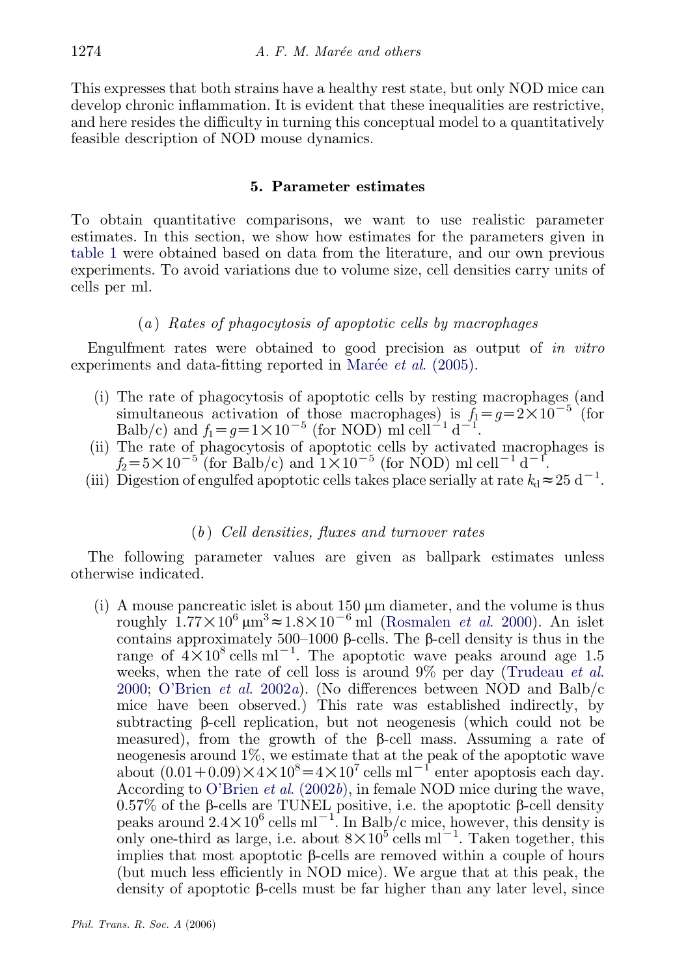This expresses that both strains have a healthy rest state, but only NOD mice can develop chronic inflammation. It is evident that these inequalities are restrictive, and here resides the difficulty in turning this conceptual model to a quantitatively feasible description of NOD mouse dynamics.

### 5. Parameter estimates

To obtain quantitative comparisons, we want to use realistic parameter estimates. In this section, we show how estimates for the parameters given in [table 1](#page-4-0) were obtained based on data from the literature, and our own previous experiments. To avoid variations due to volume size, cell densities carry units of cells per ml.

## $(a)$  Rates of phagocytosis of apoptotic cells by macrophages

Engulfment rates were obtained to good precision as output of in vitro experiments and data-fitting reported in Marée *et al.*  $(2005)$ .

- (i) The rate of phagocytosis of apoptotic cells by resting macrophages (and simultaneous activation of those macrophages) is  $f_1 = g = 2 \times 10^{-5}$  (for Balb/c) and  $f_1 = g = 1 \times 10^{-5}$  (for NOD) ml cell<sup>-1</sup> d<sup>-1</sup>.
- (ii) The rate of phagocytosis of apoptotic cells by activated macrophages is  $f_2=5\times10^{-5}$  (for Balb/c) and  $1\times10^{-5}$  (for NOD) ml cell<sup>-1</sup> d<sup>-1</sup>.
- (iii) Digestion of engulfed apoptotic cells takes place serially at rate  $k_d \approx 25 \text{ d}^{-1}$ .

## $(b)$  Cell densities, fluxes and turnover rates

The following parameter values are given as ballpark estimates unless otherwise indicated.

(i) A mouse pancreatic islet is about  $150 \mu m$  diameter, and the volume is thus roughly  $1.77 \times 10^6 \,\mathrm{\upmu m}^3 \approx 1.8 \times 10^{-6} \,\mathrm{ml}$  ([Rosmalen](#page-15-0) *et al.* 2000). An islet contains approximately 500–1000 b-cells. The b-cell density is thus in the range of  $4 \times 10^8$  cells ml<sup>-1</sup>. The apoptotic wave peaks around age 1.5 weeks, when the rate of cell loss is around  $9\%$  per day [\(Trudeau](#page-15-0) *et al.*) [2000;](#page-15-0) [O'Brien](#page-15-0) et al. 2002a). (No differences between NOD and Balb/c mice have been observed.) This rate was established indirectly, by subtracting  $\beta$ -cell replication, but not neogenesis (which could not be measured), from the growth of the  $\beta$ -cell mass. Assuming a rate of neogenesis around 1%, we estimate that at the peak of the apoptotic wave about  $(0.01+0.09) \times 4 \times 10^8 = 4 \times 10^7$  cells ml<sup>-1</sup> enter apoptosis each day. According to [O'Brien](#page-15-0) et al. (2002b), in female NOD mice during the wave, 0.57% of the  $\beta$ -cells are TUNEL positive, i.e. the apoptotic  $\beta$ -cell density peaks around  $2.4 \times 10^6$  cells ml<sup>-1</sup>. In Balb/c mice, however, this density is only one-third as large, i.e. about  $8 \times 10^5$  cells m<sup>1-1</sup>. Taken together, this implies that most apoptotic  $\beta$ -cells are removed within a couple of hours (but much less efficiently in NOD mice). We argue that at this peak, the density of apoptotic  $\beta$ -cells must be far higher than any later level, since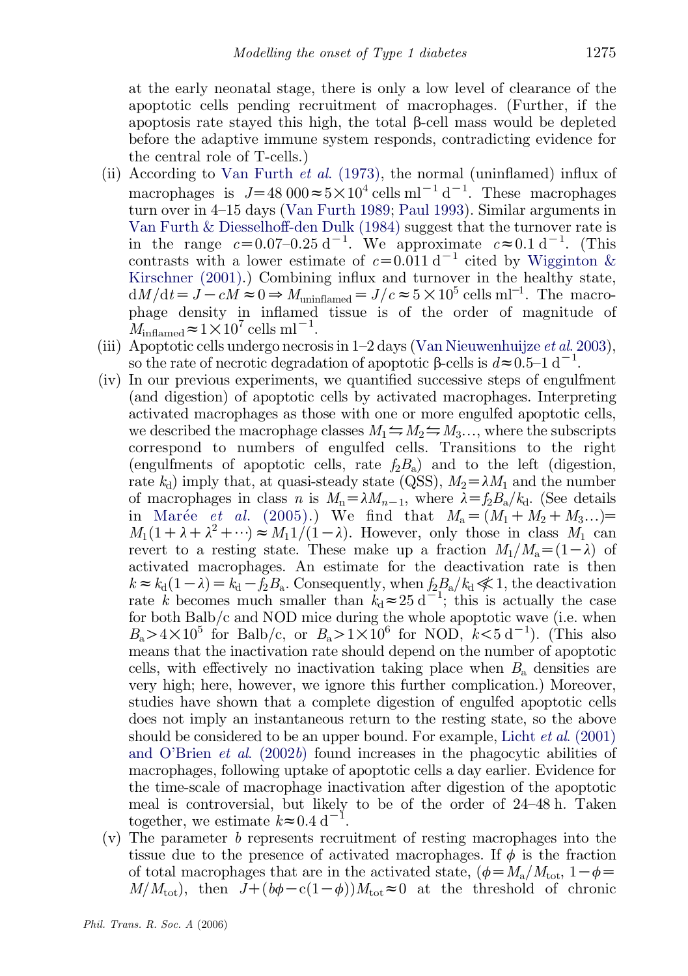at the early neonatal stage, there is only a low level of clearance of the apoptotic cells pending recruitment of macrophages. (Further, if the apoptosis rate stayed this high, the total  $\beta$ -cell mass would be depleted before the adaptive immune system responds, contradicting evidence for the central role of T-cells.)

- (ii) According to [Van Furth](#page-15-0) et al. (1973), the normal (uninflamed) influx of macrophages is  $J=48000 \approx 5 \times 10^4$  cells ml<sup>-1</sup> d<sup>-1</sup>. These macrophages turn over in 4–15 days ([Van Furth 1989;](#page-15-0) [Paul 1993\)](#page-15-0). Similar arguments in [Van Furth & Diesselhoff-den Dulk \(1984\)](#page-15-0) suggest that the turnover rate is in the range  $c=0.07-0.25 \text{ d}^{-1}$ . We approximate  $c\approx 0.1 \text{ d}^{-1}$ . (This contrasts with a lower estimate of  $c=0.011 d^{-1}$  cited by [Wigginton &](#page-15-0) [Kirschner \(2001\).](#page-15-0)) Combining influx and turnover in the healthy state,  $dM/dt = \dot{J} - c\dot{M} \approx 0 \Rightarrow M_{\text{uninflamed}} = J/c \approx 5 \times 10^5 \text{ cells m}^{-1}$ . The macrophage density in inflamed tissue is of the order of magnitude of  $M_{\text{inflamed}} \approx 1 \times 10^7 \text{ cells ml}^{-1}.$
- (iii) Apoptotic cells undergo necrosis in  $1-2$  days [\(Van Nieuwenhuijze](#page-15-0) *et al.* 2003), so the rate of necrotic degradation of apoptotic  $\beta$ -cells is  $d \approx 0.5$ -1 d<sup>-1</sup>.
- (iv) In our previous experiments, we quantified successive steps of engulfment (and digestion) of apoptotic cells by activated macrophages. Interpreting activated macrophages as those with one or more engulfed apoptotic cells, we described the macrophage classes  $M_1 \nightharpoonup M_2 \nightharpoonup M_3...$ , where the subscripts correspond to numbers of engulfed cells. Transitions to the right (engulfments of apoptotic cells, rate  $f_2B_a$ ) and to the left (digestion, rate  $k_d$ ) imply that, at quasi-steady state (QSS),  $M_2 = \lambda M_1$  and the number of macrophages in class n is  $M_n = \lambda M_{n-1}$ , where  $\lambda = f_2 B_n/k_d$ . (See details in Marée et al[. \(2005\)](#page-15-0).) We find that  $M_a = (M_1 + M_2 + M_3...)$  $M_1(1+\lambda+\lambda^2+\cdots) \approx M_1\frac{1}{1-\lambda}$ . However, only those in class  $M_1$  can revert to a resting state. These make up a fraction  $M_1/M_a = (1-\lambda)$  of activated macrophages. An estimate for the deactivation rate is then  $k \approx k_d(1-\lambda) = k_d - f_2B_a$ . Consequently, when  $f_2B_a/k_d \ll 1$ , the deactivation rate k becomes much smaller than  $k_d \approx 25 d^{-1}$ ; this is actually the case for both Balb/c and NOD mice during the whole apoptotic wave (i.e. when  $B_a > 4 \times 10^5$  for Balb/c, or  $B_a > 1 \times 10^6$  for NOD,  $k < 5$  d<sup>-1</sup>). (This also means that the inactivation rate should depend on the number of apoptotic cells, with effectively no inactivation taking place when  $B<sub>a</sub>$  densities are very high; here, however, we ignore this further complication.) Moreover, studies have shown that a complete digestion of engulfed apoptotic cells does not imply an instantaneous return to the resting state, so the above should be considered to be an upper bound. For example, Licht  $et al. (2001)$  $et al. (2001)$ [and O'Brien](#page-15-0) *et al.* (2002b) found increases in the phagocytic abilities of macrophages, following uptake of apoptotic cells a day earlier. Evidence for the time-scale of macrophage inactivation after digestion of the apoptotic meal is controversial, but likely to be of the order of 24–48 h. Taken together, we estimate  $k \approx 0.4 \text{ d}^{-1}$ .
- (v) The parameter b represents recruitment of resting macrophages into the tissue due to the presence of activated macrophages. If  $\phi$  is the fraction of total macrophages that are in the activated state,  $(\phi = M_a/M_{\text{tot}})$ ,  $1-\phi =$  $M/M_{\text{tot}}$ ), then  $J+(b\phi-c(1-\phi))M_{\text{tot}}\approx 0$  at the threshold of chronic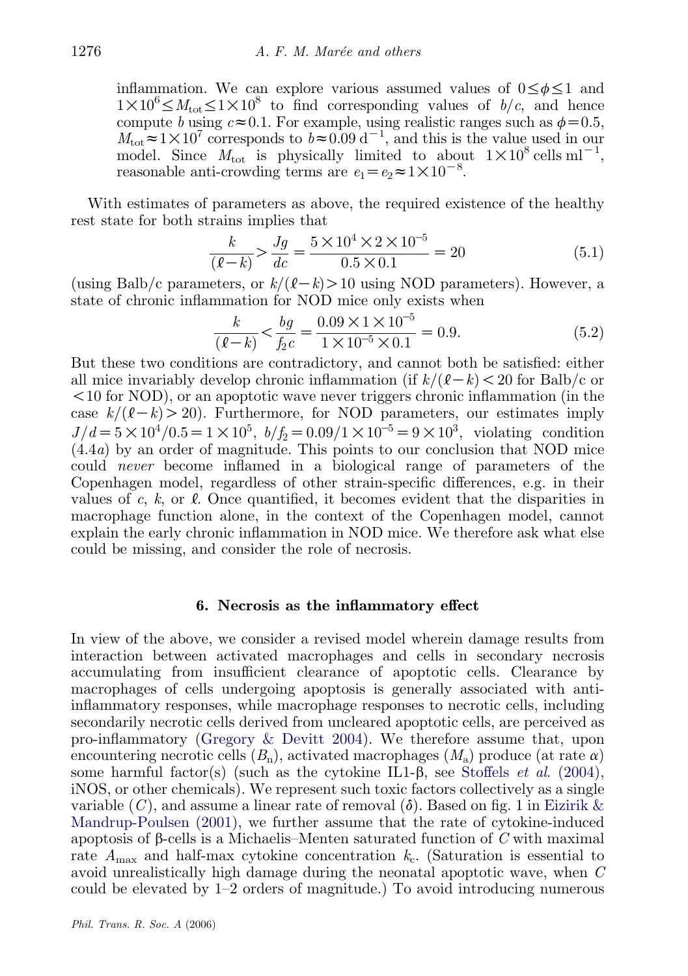inflammation. We can explore various assumed values of  $0 \le \phi \le 1$  and  $1 \times 10^6 \leq M_{\text{tot}} \leq 1 \times 10^8$  to find corresponding values of  $b/c$ , and hence compute b using  $c \approx 0.1$ . For example, using realistic ranges such as  $\phi = 0.5$ ,  $M_{\text{tot}} \approx 1 \times 10^7$  corresponds to  $b \approx 0.09 \text{ d}^{-1}$ , and this is the value used in our model. Since  $M_{\text{tot}}$  is physically limited to about  $1 \times 10^8 \text{ cells m}^{-1}$ , reasonable anti-crowding terms are  $e_1 = e_2 \approx 1 \times 10^{-8}$ .

With estimates of parameters as above, the required existence of the healthy rest state for both strains implies that

$$
\frac{k}{(\ell - k)} > \frac{Jg}{dc} = \frac{5 \times 10^4 \times 2 \times 10^{-5}}{0.5 \times 0.1} = 20
$$
 (5.1)

(using Balb/c parameters, or  $k/(\ell-k) > 10$  using NOD parameters). However, a state of chronic inflammation for NOD mice only exists when

$$
\frac{k}{(\ell - k)} < \frac{bg}{f_2 c} = \frac{0.09 \times 1 \times 10^{-5}}{1 \times 10^{-5} \times 0.1} = 0.9.
$$
 (5.2)

But these two conditions are contradictory, and cannot both be satisfied: either all mice invariably develop chronic inflammation (if  $k/(\ell-k) < 20$  for Balb/c or  $10$  for NOD), or an apoptotic wave never triggers chronic inflammation (in the case  $k/(\ell-k) > 20$ ). Furthermore, for NOD parameters, our estimates imply  $J/d = 5 \times 10^4 / 0.5 = 1 \times 10^5$ ,  $b/f_2 = 0.09 / 1 \times 10^{-5} = 9 \times 10^3$ , violating condition  $(4.4a)$  by an order of magnitude. This points to our conclusion that NOD mice could never become inflamed in a biological range of parameters of the Copenhagen model, regardless of other strain-specific differences, e.g. in their values of c, k, or  $\ell$ . Once quantified, it becomes evident that the disparities in macrophage function alone, in the context of the Copenhagen model, cannot explain the early chronic inflammation in NOD mice. We therefore ask what else could be missing, and consider the role of necrosis.

#### 6. Necrosis as the inflammatory effect

In view of the above, we consider a revised model wherein damage results from interaction between activated macrophages and cells in secondary necrosis accumulating from insufficient clearance of apoptotic cells. Clearance by macrophages of cells undergoing apoptosis is generally associated with antiinflammatory responses, while macrophage responses to necrotic cells, including secondarily necrotic cells derived from uncleared apoptotic cells, are perceived as pro-inflammatory [\(Gregory & Devitt 2004\)](#page-14-0). We therefore assume that, upon encountering necrotic cells  $(B_n)$ , activated macrophages  $(M_n)$  produce (at rate  $\alpha$ ) some harmful factor(s) (such as the cytokine IL1- $\beta$ , see Stoffels *et al.* (2004), iNOS, or other chemicals). We represent such toxic factors collectively as a single variable  $(C)$ , and assume a linear rate of removal  $(\delta)$ . Based on fig. 1 in [Eizirik &](#page-14-0) [Mandrup-Poulsen \(2001\),](#page-14-0) we further assume that the rate of cytokine-induced apoptosis of  $\beta$ -cells is a Michaelis–Menten saturated function of C with maximal rate  $A_{\text{max}}$  and half-max cytokine concentration  $k_c$ . (Saturation is essential to avoid unrealistically high damage during the neonatal apoptotic wave, when C could be elevated by 1–2 orders of magnitude.) To avoid introducing numerous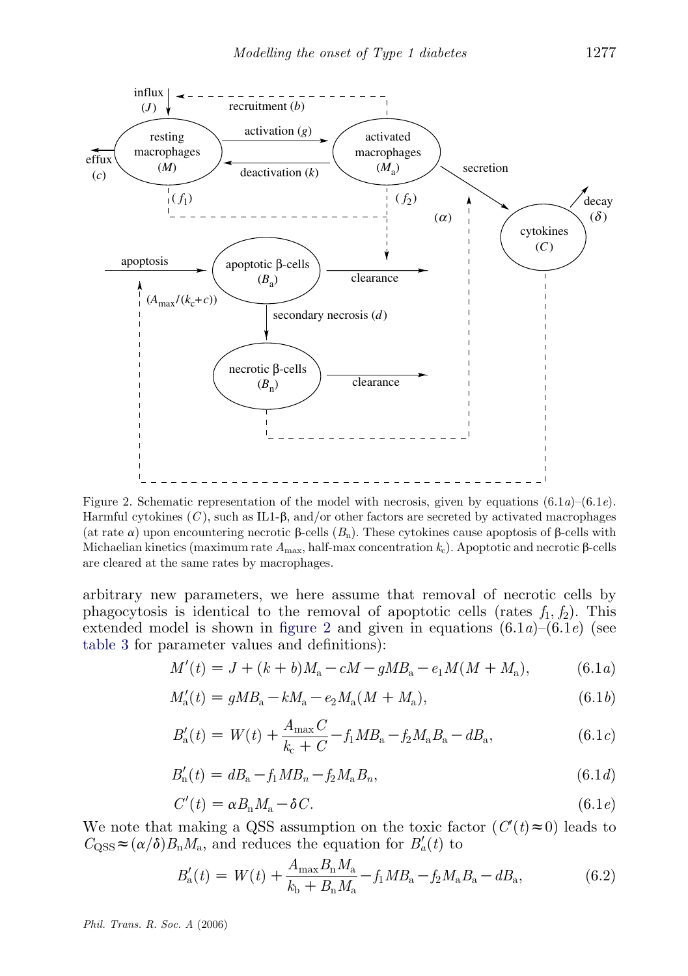

Figure 2. Schematic representation of the model with necrosis, given by equations  $(6.1a)$ – $(6.1e)$ . Harmful cytokines  $(C)$ , such as IL1- $\beta$ , and/or other factors are secreted by activated macrophages (at rate  $\alpha$ ) upon encountering necrotic  $\beta$ -cells  $(B_n)$ . These cytokines cause apoptosis of  $\beta$ -cells with Michaelian kinetics (maximum rate  $A_{\text{max}}$ , half-max concentration  $k_c$ ). Apoptotic and necrotic  $\beta$ -cells are cleared at the same rates by macrophages.

arbitrary new parameters, we here assume that removal of necrotic cells by phagocytosis is identical to the removal of apoptotic cells (rates  $f_1, f_2$ ). This extended model is shown in figure 2 and given in equations  $(6.1a)$ – $(6.1e)$  (see [table 3](#page-11-0) for parameter values and definitions):

$$
M'(t) = J + (k + b)M_a - cM - gMB_a - e_1M(M + M_a), \tag{6.1a}
$$

$$
M'_{\rm a}(t) = gMB_{\rm a} - kM_{\rm a} - e_2M_{\rm a}(M + M_{\rm a}),\tag{6.1b}
$$

$$
B'_{\rm a}(t) = W(t) + \frac{A_{\rm max}C}{k_{\rm c} + C} - f_1 M B_{\rm a} - f_2 M_{\rm a} B_{\rm a} - dB_{\rm a},\tag{6.1c}
$$

$$
B'_{n}(t) = dB_{n} - f_{1}MB_{n} - f_{2}M_{n}B_{n}, \qquad (6.1d)
$$

$$
C'(t) = \alpha B_{\rm n} M_{\rm a} - \delta C. \tag{6.1e}
$$

We note that making a QSS assumption on the toxic factor  $(C'(t) \approx 0)$  leads to  $C_{\text{QSS}} \approx (\alpha/\delta) B_{\text{n}} M_{\text{a}}$ , and reduces the equation for  $B'_a(t)$  to

$$
B'_{\rm a}(t) = W(t) + \frac{A_{\rm max}B_{\rm n}M_{\rm a}}{k_{\rm b} + B_{\rm n}M_{\rm a}} - f_{1}MB_{\rm a} - f_{2}M_{\rm a}B_{\rm a} - dB_{\rm a},\tag{6.2}
$$

Phil. Trans. R. Soc. A (2006)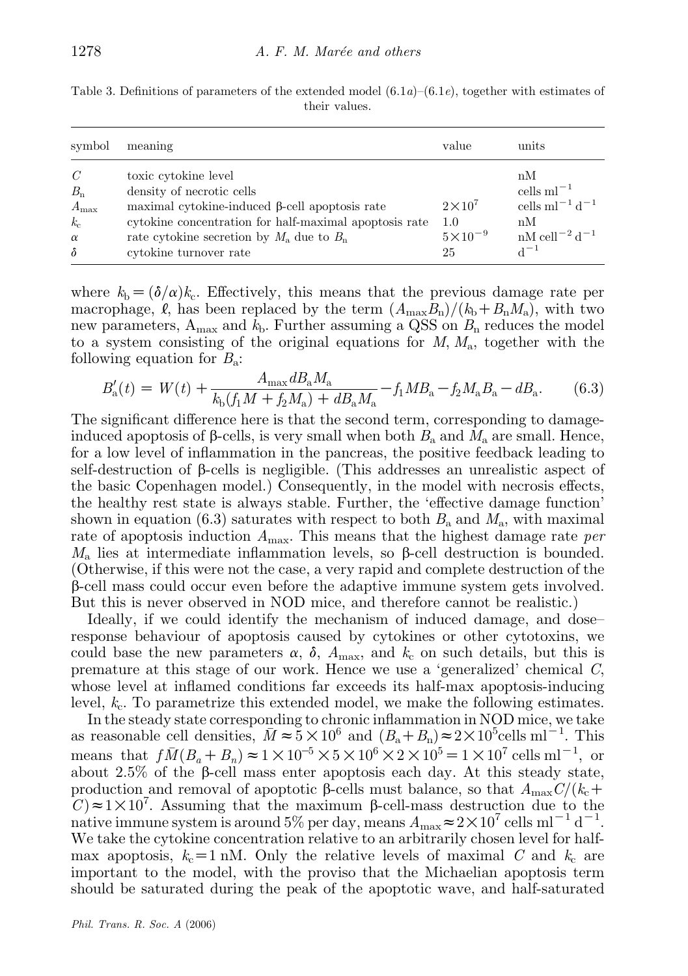| symbol                                                       | meaning                                                                                                                                                                                                                                         | value                                              | units                                                                                                                  |
|--------------------------------------------------------------|-------------------------------------------------------------------------------------------------------------------------------------------------------------------------------------------------------------------------------------------------|----------------------------------------------------|------------------------------------------------------------------------------------------------------------------------|
| C<br>$B_n$<br>$A_{\rm max}$<br>$k_c$<br>$\alpha$<br>$\delta$ | toxic cytokine level<br>density of necrotic cells<br>maximal cytokine-induced $\beta$ -cell apoptosis rate<br>cytokine concentration for half-maximal apoptosis rate<br>rate cytokine secretion by $M_a$ due to $B_n$<br>cytokine turnover rate | $2\times10^{7}$<br>1.0<br>$5 \times 10^{-9}$<br>25 | nM<br>cells $ml^{-1}$<br>cells m $l^{-1}$ d <sup>-1</sup><br>nM<br>$nM$ cell <sup>-2</sup> d <sup>-1</sup><br>$d^{-1}$ |

<span id="page-11-0"></span>Table 3. Definitions of parameters of the extended model  $(6.1a)$ – $(6.1e)$ , together with estimates of their values.

where  $k_b = (\delta/\alpha)k_c$ . Effectively, this means that the previous damage rate per macrophage,  $\ell$ , has been replaced by the term  $(A_{\text{max}}B_{\text{n}})/(k_{\text{b}}+B_{\text{n}}M_{\text{a}})$ , with two new parameters,  $A_{\text{max}}$  and  $k_{\text{b}}$ . Further assuming a QSS on  $B_{\text{n}}$  reduces the model to a system consisting of the original equations for  $M, M_a$ , together with the following equation for  $B_a$ :

$$
B'_{\rm a}(t) = W(t) + \frac{A_{\rm max} dB_{\rm a} M_{\rm a}}{k_{\rm b}(f_1 M + f_2 M_{\rm a}) + dB_{\rm a} M_{\rm a}} - f_1 M B_{\rm a} - f_2 M_{\rm a} B_{\rm a} - dB_{\rm a}.
$$
 (6.3)

The significant difference here is that the second term, corresponding to damageinduced apoptosis of  $\beta$ -cells, is very small when both  $B_a$  and  $M_a$  are small. Hence, for a low level of inflammation in the pancreas, the positive feedback leading to self-destruction of  $\beta$ -cells is negligible. (This addresses an unrealistic aspect of the basic Copenhagen model.) Consequently, in the model with necrosis effects, the healthy rest state is always stable. Further, the 'effective damage function' shown in equation (6.3) saturates with respect to both  $B_a$  and  $M_a$ , with maximal rate of apoptosis induction  $A_{\text{max}}$ . This means that the highest damage rate *per*  $M_{\rm a}$  lies at intermediate inflammation levels, so  $\beta$ -cell destruction is bounded. (Otherwise, if this were not the case, a very rapid and complete destruction of the  $\beta$ -cell mass could occur even before the adaptive immune system gets involved. But this is never observed in NOD mice, and therefore cannot be realistic.)

Ideally, if we could identify the mechanism of induced damage, and dose– response behaviour of apoptosis caused by cytokines or other cytotoxins, we could base the new parameters  $\alpha$ ,  $\delta$ ,  $A_{\text{max}}$ , and  $k_c$  on such details, but this is premature at this stage of our work. Hence we use a 'generalized' chemical C, whose level at inflamed conditions far exceeds its half-max apoptosis-inducing level,  $k_c$ . To parametrize this extended model, we make the following estimates.

In the steady state corresponding to chronic inflammation in NOD mice, we take as reasonable cell densities,  $\bar{M} \approx 5 \times 10^6$  and  $(B_a + B_n) \approx 2 \times 10^5$ cells ml<sup>-1</sup>. This means that  $f\bar{M}(B_a + B_n) \approx 1 \times 10^{-5} \times 5 \times 10^6 \times 2 \times 10^5 = 1 \times 10^7$  cells ml<sup>-1</sup>, or about 2.5% of the  $\beta$ -cell mass enter apoptosis each day. At this steady state, production and removal of apoptotic  $\beta$ -cells must balance, so that  $A_{\text{max}}C/(k_c+\gamma)$  $\mathcal{C}$ )  $\approx$  1  $\times$  10<sup>7</sup>. Assuming that the maximum  $\beta$ -cell-mass destruction due to the native immune system is around 5% per day, means  $A_{\text{max}} \approx 2 \times 10^7 \text{ cells m}^{-1} \text{ d}^{-1}$ . We take the cytokine concentration relative to an arbitrarily chosen level for halfmax apoptosis,  $k_c=1$  nM. Only the relative levels of maximal C and  $k_c$  are important to the model, with the proviso that the Michaelian apoptosis term should be saturated during the peak of the apoptotic wave, and half-saturated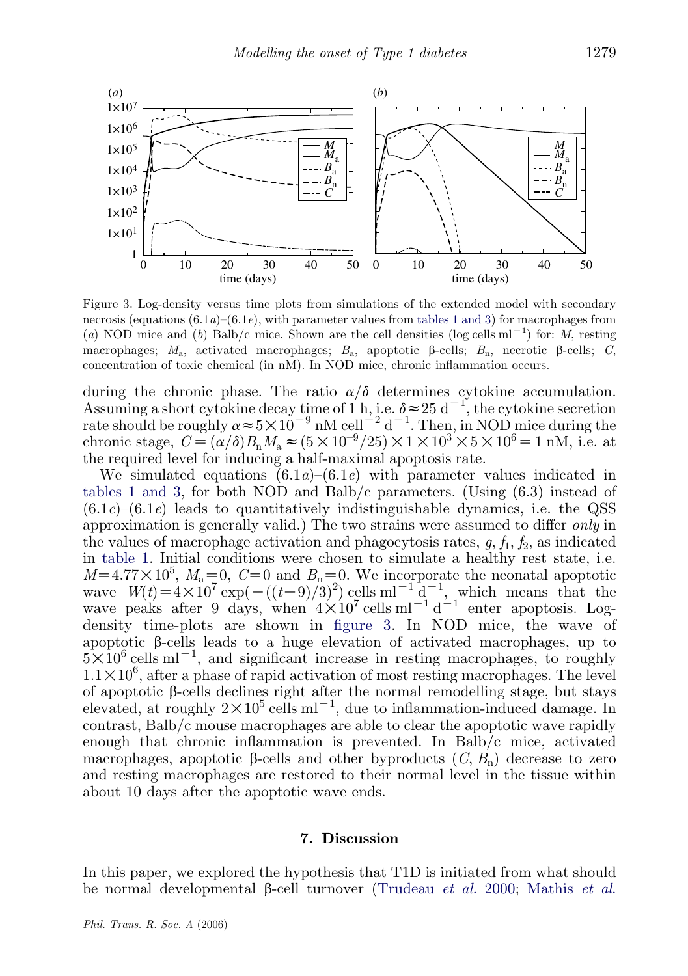<span id="page-12-0"></span>

Figure 3. Log-density versus time plots from simulations of the extended model with secondary necrosis (equations  $(6.1a)$ – $(6.1e)$ , with parameter values from [tables 1 and 3](#page-4-0)) for macrophages from (a) NOD mice and (b) Balb/c mice. Shown are the cell densities (log cells ml<sup>-1</sup>) for: M, resting macrophages;  $M_a$ , activated macrophages;  $B_a$ , apoptotic  $\beta$ -cells;  $B_n$ , necrotic  $\beta$ -cells; C, concentration of toxic chemical (in nM). In NOD mice, chronic inflammation occurs.

during the chronic phase. The ratio  $\alpha/\delta$  determines cytokine accumulation. Assuming a short cytokine decay time of 1 h, i.e.  $\delta \approx 25 \text{ d}^{-1}$ , the cytokine secretion rate should be roughly  $\alpha \approx 5 \times 10^{-9}$  nM cell<sup>-2</sup> d<sup>-1</sup>. Then, in NOD mice during the chronic stage,  $C = (\alpha/\delta) B_n M_a \approx (5 \times 10^{-9}/25) \times 1 \times 10^3 \times 5 \times 10^6 = 1 \text{ nM}, \text{ i.e. at }$ the required level for inducing a half-maximal apoptosis rate.

We simulated equations  $(6.1a)$ – $(6.1e)$  with parameter values indicated in [tables 1 and 3,](#page-4-0) for both NOD and Balb/c parameters. (Using (6.3) instead of  $(6.1c)$ – $(6.1e)$  leads to quantitatively indistinguishable dynamics, i.e. the QSS approximation is generally valid.) The two strains were assumed to differ only in the values of macrophage activation and phagocytosis rates,  $g, f_1, f_2$ , as indicated in [table 1.](#page-4-0) Initial conditions were chosen to simulate a healthy rest state, i.e.  $M=4.77\times10^5$ ,  $M_a=0$ ,  $C=0$  and  $B_n=0$ . We incorporate the neonatal apoptotic wave  $W(t) = 4 \times 10^7 \exp(-(t-9)/3)^2)$  cells ml<sup>-1</sup> d<sup>-1</sup>, which means that the wave peaks after 9 days, when  $4 \times 10^7$  cells ml<sup>-1</sup> d<sup>-1</sup> enter apoptosis. Logdensity time-plots are shown in figure 3. In NOD mice, the wave of apoptotic  $\beta$ -cells leads to a huge elevation of activated macrophages, up to  $5 \times 10^6$  cells ml<sup>-1</sup>, and significant increase in resting macrophages, to roughly  $1.1 \times 10^6$ , after a phase of rapid activation of most resting macrophages. The level of apoptotic  $\beta$ -cells declines right after the normal remodelling stage, but stays elevated, at roughly  $2 \times 10^5$  cells ml<sup>-1</sup>, due to inflammation-induced damage. In contrast, Balb/c mouse macrophages are able to clear the apoptotic wave rapidly enough that chronic inflammation is prevented. In Balb/c mice, activated macrophages, apoptotic  $\beta$ -cells and other byproducts  $(C, B_n)$  decrease to zero and resting macrophages are restored to their normal level in the tissue within about 10 days after the apoptotic wave ends.

#### 7. Discussion

In this paper, we explored the hypothesis that T1D is initiated from what should be normal developmental  $\beta$ -cell turnover ([Trudeau](#page-15-0) *et al.* 2000; [Mathis](#page-15-0) *et al.*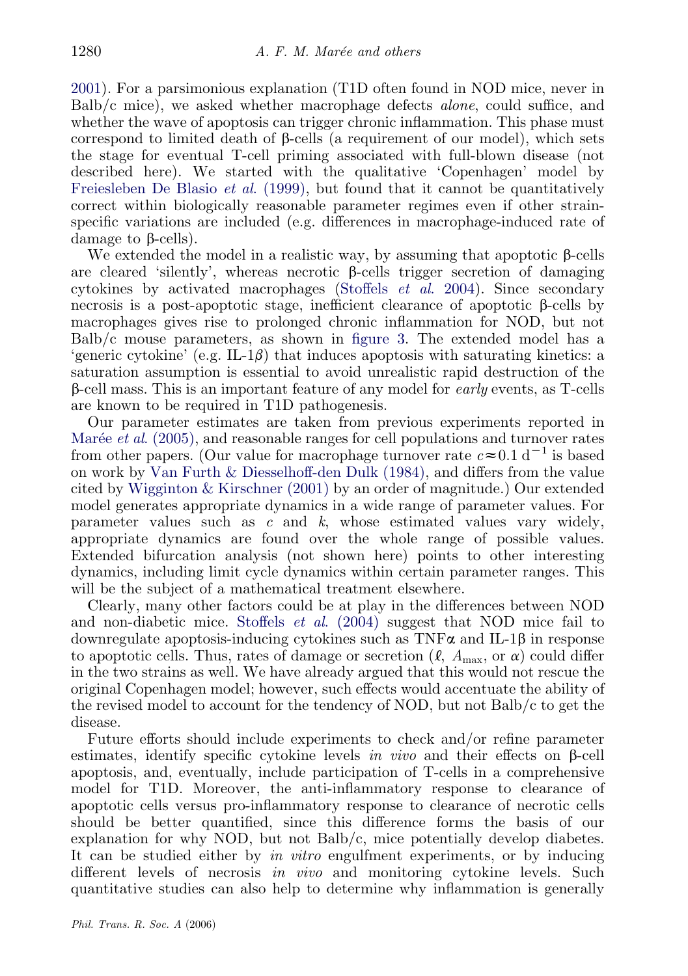[2001\)](#page-15-0). For a parsimonious explanation (T1D often found in NOD mice, never in Balb/c mice), we asked whether macrophage defects alone, could suffice, and whether the wave of apoptosis can trigger chronic inflammation. This phase must correspond to limited death of  $\beta$ -cells (a requirement of our model), which sets the stage for eventual T-cell priming associated with full-blown disease (not described here). We started with the qualitative 'Copenhagen' model by [Freiesleben De Blasio](#page-14-0) et al. (1999), but found that it cannot be quantitatively correct within biologically reasonable parameter regimes even if other strainspecific variations are included (e.g. differences in macrophage-induced rate of damage to  $\beta$ -cells).

We extended the model in a realistic way, by assuming that apoptotic  $\beta$ -cells are cleared 'silently', whereas necrotic  $\beta$ -cells trigger secretion of damaging cytokines by activated macrophages [\(Stoffels](#page-15-0) et al. 2004). Since secondary necrosis is a post-apoptotic stage, inefficient clearance of apoptotic  $\beta$ -cells by macrophages gives rise to prolonged chronic inflammation for NOD, but not Balb/c mouse parameters, as shown in [figure 3](#page-12-0). The extended model has a 'generic cytokine' (e.g. IL-1 $\beta$ ) that induces apoptosis with saturating kinetics: a saturation assumption is essential to avoid unrealistic rapid destruction of the b-cell mass. This is an important feature of any model for early events, as T-cells are known to be required in T1D pathogenesis.

Our parameter estimates are taken from previous experiments reported in Marée *et al.* (2005), and reasonable ranges for cell populations and turnover rates from other papers. (Our value for macrophage turnover rate  $c \approx 0.1 \text{ d}^{-1}$  is based on work by [Van Furth & Diesselhoff-den Dulk \(1984\),](#page-15-0) and differs from the value cited by [Wigginton & Kirschner \(2001\)](#page-15-0) by an order of magnitude.) Our extended model generates appropriate dynamics in a wide range of parameter values. For parameter values such as c and k, whose estimated values vary widely, appropriate dynamics are found over the whole range of possible values. Extended bifurcation analysis (not shown here) points to other interesting dynamics, including limit cycle dynamics within certain parameter ranges. This will be the subject of a mathematical treatment elsewhere.

Clearly, many other factors could be at play in the differences between NOD and non-diabetic mice. Stoffels et al[. \(2004\)](#page-15-0) suggest that NOD mice fail to downregulate apoptosis-inducing cytokines such as  $TNF\alpha$  and IL-1 $\beta$  in response to apoptotic cells. Thus, rates of damage or secretion  $(\ell, A_{\text{max}}, \text{or } \alpha)$  could differ in the two strains as well. We have already argued that this would not rescue the original Copenhagen model; however, such effects would accentuate the ability of the revised model to account for the tendency of NOD, but not Balb/c to get the disease.

Future efforts should include experiments to check and/or refine parameter estimates, identify specific cytokine levels in vivo and their effects on  $\beta$ -cell apoptosis, and, eventually, include participation of T-cells in a comprehensive model for T1D. Moreover, the anti-inflammatory response to clearance of apoptotic cells versus pro-inflammatory response to clearance of necrotic cells should be better quantified, since this difference forms the basis of our explanation for why NOD, but not Balb/c, mice potentially develop diabetes. It can be studied either by in vitro engulfment experiments, or by inducing different levels of necrosis in vivo and monitoring cytokine levels. Such quantitative studies can also help to determine why inflammation is generally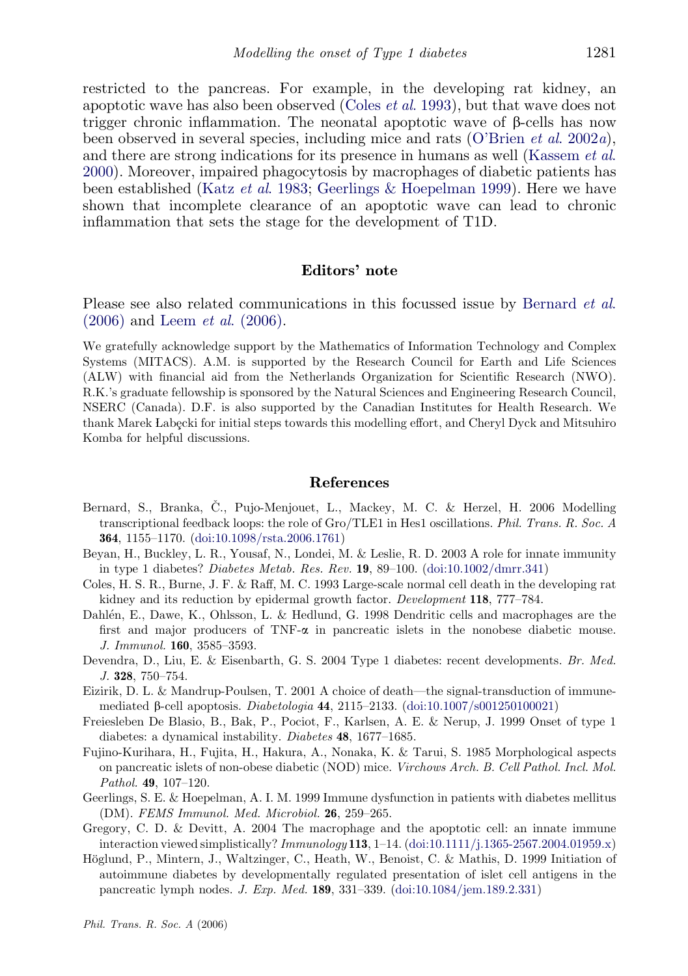<span id="page-14-0"></span>restricted to the pancreas. For example, in the developing rat kidney, an apoptotic wave has also been observed (Coles et al. 1993), but that wave does not trigger chronic inflammation. The neonatal apoptotic wave of b-cells has now been observed in several species, including mice and rats ([O'Brien](#page-15-0) *et al.* 2002*a*), and there are strong indications for its presence in humans as well ([Kassem](#page-15-0) et al. [2000](#page-15-0)). Moreover, impaired phagocytosis by macrophages of diabetic patients has been established (Katz et al[. 1983;](#page-15-0) Geerlings & Hoepelman 1999). Here we have shown that incomplete clearance of an apoptotic wave can lead to chronic inflammation that sets the stage for the development of T1D.

## Editors' note

Please see also related communications in this focussed issue by Bernard *et al.* (2006) and Leem et al[. \(2006\).](#page-15-0)

We gratefully acknowledge support by the Mathematics of Information Technology and Complex Systems (MITACS). A.M. is supported by the Research Council for Earth and Life Sciences (ALW) with financial aid from the Netherlands Organization for Scientific Research (NWO). R.K.'s graduate fellowship is sponsored by the Natural Sciences and Engineering Research Council, NSERC (Canada). D.F. is also supported by the Canadian Institutes for Health Research. We thank Marek Łabecki for initial steps towards this modelling effort, and Cheryl Dyck and Mitsuhiro Komba for helpful discussions.

#### References

- Bernard, S., Branka, Č., Pujo-Menjouet, L., Mackey, M. C. & Herzel, H. 2006 Modelling transcriptional feedback loops: the role of Gro/TLE1 in Hes1 oscillations. Phil. Trans. R. Soc. A 364, 1155–1170. ([doi:10.1098/rsta.2006.1761](http://dx.doi.org/doi:10.1098/rsta.2006.1761))
- Beyan, H., Buckley, L. R., Yousaf, N., Londei, M. & Leslie, R. D. 2003 A role for innate immunity in type 1 diabetes? Diabetes Metab. Res. Rev.  $19, 89-100.$  [\(doi:10.1002/dmrr.341](http://dx.doi.org/doi:10.1002/dmrr.341))
- Coles, H. S. R., Burne, J. F. & Raff, M. C. 1993 Large-scale normal cell death in the developing rat kidney and its reduction by epidermal growth factor. Development 118, 777–784.
- Dahlén, E., Dawe, K., Ohlsson, L. & Hedlund, G. 1998 Dendritic cells and macrophages are the first and major producers of  $TNF-\alpha$  in pancreatic islets in the nonobese diabetic mouse. J. Immunol. 160, 3585–3593.
- Devendra, D., Liu, E. & Eisenbarth, G. S. 2004 Type 1 diabetes: recent developments. Br. Med. J. 328, 750–754.
- Eizirik, D. L. & Mandrup-Poulsen, T. 2001 A choice of death—the signal-transduction of immunemediated  $\beta$ -cell apoptosis. *Diabetologia* 44, 2115–2133. ([doi:10.1007/s001250100021](http://dx.doi.org/doi:10.1007/s001250100021))
- Freiesleben De Blasio, B., Bak, P., Pociot, F., Karlsen, A. E. & Nerup, J. 1999 Onset of type 1 diabetes: a dynamical instability. Diabetes 48, 1677–1685.
- Fujino-Kurihara, H., Fujita, H., Hakura, A., Nonaka, K. & Tarui, S. 1985 Morphological aspects on pancreatic islets of non-obese diabetic (NOD) mice. Virchows Arch. B. Cell Pathol. Incl. Mol. Pathol. 49, 107–120.
- Geerlings, S. E. & Hoepelman, A. I. M. 1999 Immune dysfunction in patients with diabetes mellitus (DM). FEMS Immunol. Med. Microbiol. 26, 259–265.
- Gregory, C. D. & Devitt, A. 2004 The macrophage and the apoptotic cell: an innate immune interaction viewed simplistically?  $Immunology$  113, 1–14. [\(doi:10.1111/j.1365-2567.2004.01959.x](http://dx.doi.org/doi:10.1111/j.1365-2567.2004.01959.x))
- Höglund, P., Mintern, J., Waltzinger, C., Heath, W., Benoist, C. & Mathis, D. 1999 Initiation of autoimmune diabetes by developmentally regulated presentation of islet cell antigens in the pancreatic lymph nodes. J. Exp. Med. 189, 331–339. [\(doi:10.1084/jem.189.2.331](http://dx.doi.org/doi:10.1084/jem.189.2.331))